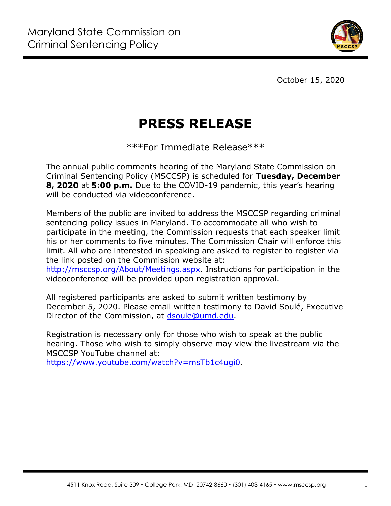

October 15, 2020

# **PRESS RELEASE**

\*\*\*For Immediate Release\*\*\*

The annual public comments hearing of the Maryland State Commission on Criminal Sentencing Policy (MSCCSP) is scheduled for **Tuesday, December 8, 2020** at **5:00 p.m.** Due to the COVID-19 pandemic, this year's hearing will be conducted via videoconference.

Members of the public are invited to address the MSCCSP regarding criminal sentencing policy issues in Maryland. To accommodate all who wish to participate in the meeting, the Commission requests that each speaker limit his or her comments to five minutes. The Commission Chair will enforce this limit. All who are interested in speaking are asked to register to register via the link posted on the Commission website at:

[http://msccsp.org/About/Meetings.aspx.](http://msccsp.org/About/Meetings.aspx) Instructions for participation in the videoconference will be provided upon registration approval.

All registered participants are asked to submit written testimony by December 5, 2020. Please email written testimony to David Soulé, Executive Director of the Commission, at [dsoule@umd.edu.](mailto:dsoule@umd.edu)

Registration is necessary only for those who wish to speak at the public hearing. Those who wish to simply observe may view the livestream via the MSCCSP YouTube channel at:

[https://www.youtube.com/watch?v=msTb1c4ugi0.](https://www.youtube.com/watch?v=msTb1c4ugi0)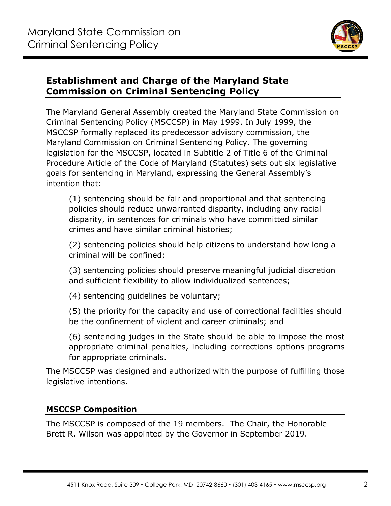

# **Establishment and Charge of the Maryland State Commission on Criminal Sentencing Policy**

The Maryland General Assembly created the Maryland State Commission on Criminal Sentencing Policy (MSCCSP) in May 1999. In July 1999, the MSCCSP formally replaced its predecessor advisory commission, the Maryland Commission on Criminal Sentencing Policy. The governing legislation for the MSCCSP, located in Subtitle 2 of Title 6 of the Criminal Procedure Article of the Code of Maryland (Statutes) sets out six legislative goals for sentencing in Maryland, expressing the General Assembly's intention that:

(1) sentencing should be fair and proportional and that sentencing policies should reduce unwarranted disparity, including any racial disparity, in sentences for criminals who have committed similar crimes and have similar criminal histories;

(2) sentencing policies should help citizens to understand how long a criminal will be confined;

(3) sentencing policies should preserve meaningful judicial discretion and sufficient flexibility to allow individualized sentences;

(4) sentencing guidelines be voluntary;

(5) the priority for the capacity and use of correctional facilities should be the confinement of violent and career criminals; and

(6) sentencing judges in the State should be able to impose the most appropriate criminal penalties, including corrections options programs for appropriate criminals.

The MSCCSP was designed and authorized with the purpose of fulfilling those legislative intentions.

# **MSCCSP Composition**

The MSCCSP is composed of the 19 members. The Chair, the Honorable Brett R. Wilson was appointed by the Governor in September 2019.